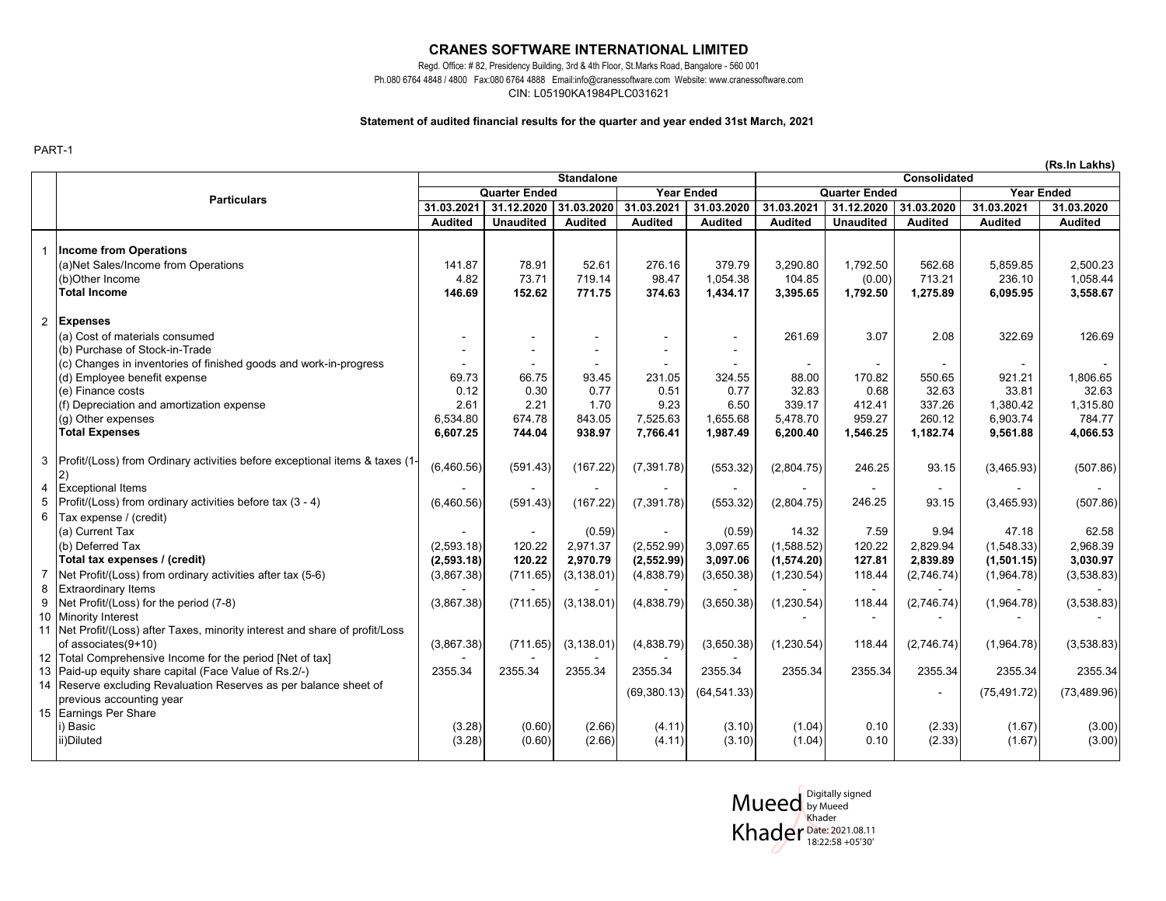### **CRANES SOFTWARE INTERNATIONAL LIMITED**

Regd. Office: # 82, Presidency Building, 3rd & 4th Floor, St.Marks Road, Bangalore - 560 001 Ph.080 6764 4848 / 4800 Fax:080 6764 4888 Email:info@cranessoftware.com Website: www.cranessoftware.com CIN: L05190KA1984PLC031621

#### **Statement of audited financial results for the quarter and year ended 31st March, 2021**

PART-1

|                |                                                                              |                                   |                  |                   |                |                      | (Rs.In Lakhs)  |                   |                |                |                |
|----------------|------------------------------------------------------------------------------|-----------------------------------|------------------|-------------------|----------------|----------------------|----------------|-------------------|----------------|----------------|----------------|
|                |                                                                              | <b>Standalone</b><br>Consolidated |                  |                   |                |                      |                |                   |                |                |                |
|                | <b>Particulars</b>                                                           | <b>Quarter Ended</b>              |                  | <b>Year Ended</b> |                | <b>Quarter Ended</b> |                | <b>Year Ended</b> |                |                |                |
|                |                                                                              | 31.03.2021                        | 31.12.2020       | 31.03.2020        | 31.03.2021     | 31.03.2020           | 31.03.2021     | 31.12.2020        | 31.03.2020     | 31.03.2021     | 31.03.2020     |
|                |                                                                              | <b>Audited</b>                    | <b>Unaudited</b> | <b>Audited</b>    | <b>Audited</b> | <b>Audited</b>       | <b>Audited</b> | <b>Unaudited</b>  | <b>Audited</b> | <b>Audited</b> | <b>Audited</b> |
|                |                                                                              |                                   |                  |                   |                |                      |                |                   |                |                |                |
|                | <b>Income from Operations</b>                                                |                                   |                  |                   |                |                      |                |                   |                |                |                |
|                | (a)Net Sales/Income from Operations                                          | 141.87                            | 78.91            | 52.61             | 276.16         | 379.79               | 3,290.80       | 1,792.50          | 562.68         | 5,859.85       | 2,500.23       |
|                | (b)Other Income                                                              | 4.82                              | 73.71            | 719.14            | 98.47          | 1,054.38             | 104.85         | (0.00)            | 713.21         | 236.10         | 1,058.44       |
|                | Total Income                                                                 | 146.69                            | 152.62           | 771.75            | 374.63         | 1,434.17             | 3,395.65       | 1,792.50          | 1,275.89       | 6,095.95       | 3,558.67       |
| 2              | <b>Expenses</b>                                                              |                                   |                  |                   |                |                      |                |                   |                |                |                |
|                | (a) Cost of materials consumed                                               |                                   |                  |                   |                | $\sim$               | 261.69         | 3.07              | 2.08           | 322.69         | 126.69         |
|                | (b) Purchase of Stock-in-Trade                                               |                                   |                  |                   |                |                      |                |                   |                |                |                |
|                | (c) Changes in inventories of finished goods and work-in-progress            |                                   |                  |                   |                |                      |                |                   |                |                |                |
|                | (d) Employee benefit expense                                                 | 69.73                             | 66.75            | 93.45             | 231.05         | 324.55               | 88.00          | 170.82            | 550.65         | 921.21         | 1,806.65       |
|                | (e) Finance costs                                                            | 0.12                              | 0.30             | 0.77              | 0.51           | 0.77                 | 32.83          | 0.68              | 32.63          | 33.81          | 32.63          |
|                | (f) Depreciation and amortization expense                                    | 2.61                              | 2.21             | 1.70              | 9.23           | 6.50                 | 339.17         | 412.41            | 337.26         | 1,380.42       | 1,315.80       |
|                | (g) Other expenses                                                           | 6,534.80                          | 674.78           | 843.05            | 7,525.63       | 1,655.68             | 5,478.70       | 959.27            | 260.12         | 6,903.74       | 784.77         |
|                | <b>Total Expenses</b>                                                        | 6,607.25                          | 744.04           | 938.97            | 7,766.41       | 1,987.49             | 6,200.40       | 1,546.25          | 1,182.74       | 9,561.88       | 4,066.53       |
|                |                                                                              |                                   |                  |                   |                |                      |                |                   |                |                |                |
| 3              | Profit/(Loss) from Ordinary activities before exceptional items & taxes (1-  |                                   |                  |                   |                |                      |                |                   |                |                |                |
|                |                                                                              | (6,460.56)                        | (591.43)         | (167.22)          | (7, 391.78)    | (553.32)             | (2,804.75)     | 246.25            | 93.15          | (3,465.93)     | (507.86)       |
| 4              | <b>Exceptional Items</b>                                                     |                                   |                  |                   |                |                      |                |                   |                |                |                |
| 5              | Profit/(Loss) from ordinary activities before tax (3 - 4)                    | (6,460.56)                        | (591.43)         | (167.22)          | (7, 391.78)    | (553.32)             | (2,804.75)     | 246.25            | 93.15          | (3,465.93)     | (507.86)       |
| 6              | Tax expense / (credit)                                                       |                                   |                  |                   |                |                      |                |                   |                |                |                |
|                | (a) Current Tax                                                              |                                   |                  | (0.59)            |                | (0.59)               | 14.32          | 7.59              | 9.94           | 47.18          | 62.58          |
|                | (b) Deferred Tax                                                             | (2,593.18)                        | 120.22           | 2,971.37          | (2,552.99)     | 3,097.65             | (1,588.52)     | 120.22            | 2.829.94       | (1,548.33)     | 2,968.39       |
|                | Total tax expenses / (credit)                                                | (2, 593.18)                       | 120.22           | 2,970.79          | (2, 552.99)    | 3,097.06             | (1,574.20)     | 127.81            | 2,839.89       | (1,501.15)     | 3,030.97       |
| $\overline{7}$ | Net Profit/(Loss) from ordinary activities after tax (5-6)                   | (3,867.38)                        | (711.65)         | (3, 138.01)       | (4,838.79)     | (3,650.38)           | (1,230.54)     | 118.44            | (2,746.74)     | (1,964.78)     | (3,538.83)     |
| 8              | <b>Extraordinary Items</b>                                                   |                                   |                  |                   |                |                      |                | $\sim$            |                |                |                |
| 9              | Net Profit/(Loss) for the period (7-8)                                       | (3,867.38)                        | (711.65)         | (3, 138.01)       | (4,838.79)     | (3,650.38)           | (1,230.54)     | 118.44            | (2,746.74)     | (1,964.78)     | (3,538.83)     |
| 10             | <b>Minority Interest</b>                                                     |                                   |                  |                   |                |                      |                |                   |                |                |                |
|                | 11 Net Profit/(Loss) after Taxes, minority interest and share of profit/Loss |                                   |                  |                   |                |                      |                |                   |                |                |                |
|                | of associates(9+10)                                                          | (3,867.38)                        | (711.65)         | (3, 138.01)       | (4,838.79)     | (3,650.38)           | (1,230.54)     | 118.44            | (2,746.74)     | (1,964.78)     | (3,538.83)     |
| 12             | Total Comprehensive Income for the period [Net of tax]                       |                                   |                  |                   |                |                      |                |                   |                |                |                |
|                | 13 Paid-up equity share capital (Face Value of Rs.2/-)                       | 2355.34                           | 2355.34          | 2355.34           | 2355.34        | 2355.34              | 2355.34        | 2355.34           | 2355.34        | 2355.34        | 2355.34        |
|                | 14 Reserve excluding Revaluation Reserves as per balance sheet of            |                                   |                  |                   |                |                      |                |                   |                |                |                |
|                | previous accounting year                                                     |                                   |                  |                   | (69, 380.13)   | (64, 541.33)         |                |                   |                | (75, 491.72)   | (73, 489.96)   |
|                | 15 Earnings Per Share                                                        |                                   |                  |                   |                |                      |                |                   |                |                |                |
|                | i) Basic                                                                     | (3.28)                            | (0.60)           | (2.66)            | (4.11)         | (3.10)               | (1.04)         | 0.10              | (2.33)         | (1.67)         | (3.00)         |
|                | ii)Diluted                                                                   | (3.28)                            | (0.60)           | (2.66)            | (4.11)         | (3.10)               | (1.04)         | 0.10              | (2.33)         | (1.67)         | (3.00)         |

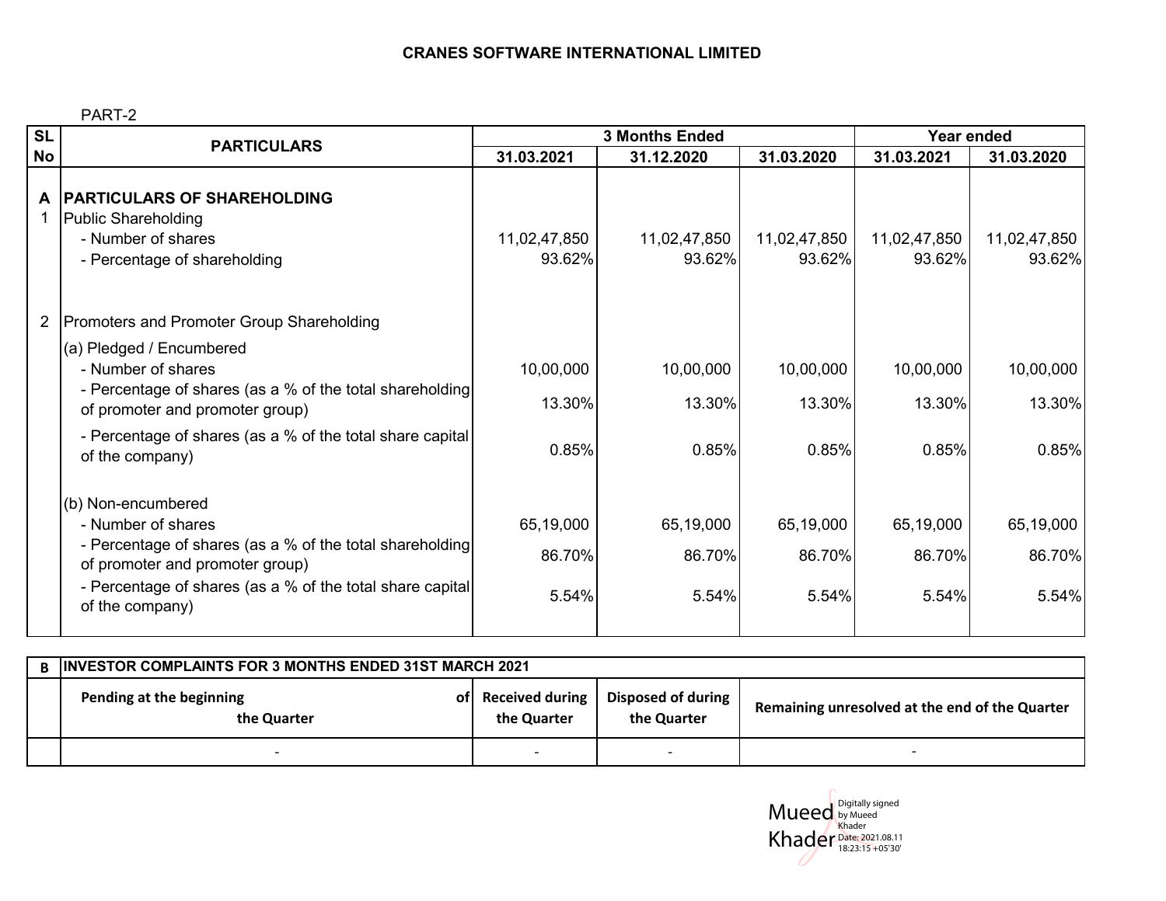## **CRANES SOFTWARE INTERNATIONAL LIMITED**

PART-2

| <b>SL</b> | <b>PARTICULARS</b>                                                                                                                                                                                                            |                              | <b>3 Months Ended</b>        | <b>Year ended</b>            |                              |                              |
|-----------|-------------------------------------------------------------------------------------------------------------------------------------------------------------------------------------------------------------------------------|------------------------------|------------------------------|------------------------------|------------------------------|------------------------------|
| <b>No</b> |                                                                                                                                                                                                                               | 31.03.2021                   | 31.12.2020                   | 31.03.2020                   | 31.03.2021                   | 31.03.2020                   |
|           | A  PARTICULARS OF SHAREHOLDING<br><b>Public Shareholding</b><br>- Number of shares<br>- Percentage of shareholding                                                                                                            | 11,02,47,850<br>93.62%       | 11,02,47,850<br>93.62%       | 11,02,47,850<br>93.62%       | 11,02,47,850<br>93.62%       | 11,02,47,850<br>93.62%       |
|           | 2 Promoters and Promoter Group Shareholding                                                                                                                                                                                   |                              |                              |                              |                              |                              |
|           | (a) Pledged / Encumbered<br>- Number of shares<br>- Percentage of shares (as a % of the total shareholding<br>of promoter and promoter group)<br>- Percentage of shares (as a % of the total share capital<br>of the company) | 10,00,000<br>13.30%<br>0.85% | 10,00,000<br>13.30%<br>0.85% | 10,00,000<br>13.30%<br>0.85% | 10,00,000<br>13.30%<br>0.85% | 10,00,000<br>13.30%<br>0.85% |
|           | (b) Non-encumbered<br>- Number of shares<br>- Percentage of shares (as a % of the total shareholding<br>of promoter and promoter group)<br>- Percentage of shares (as a % of the total share capital<br>of the company)       | 65,19,000<br>86.70%<br>5.54% | 65,19,000<br>86.70%<br>5.54% | 65,19,000<br>86.70%<br>5.54% | 65,19,000<br>86.70%<br>5.54% | 65,19,000<br>86.70%<br>5.54% |

| <b>B INVESTOR COMPLAINTS FOR 3 MONTHS ENDED 31ST MARCH 2021</b> |                                   |                                   |                                                |  |  |
|-----------------------------------------------------------------|-----------------------------------|-----------------------------------|------------------------------------------------|--|--|
| Pending at the beginning<br>the Quarter                         | of Received during<br>the Quarter | Disposed of during<br>the Quarter | Remaining unresolved at the end of the Quarter |  |  |
|                                                                 |                                   |                                   |                                                |  |  |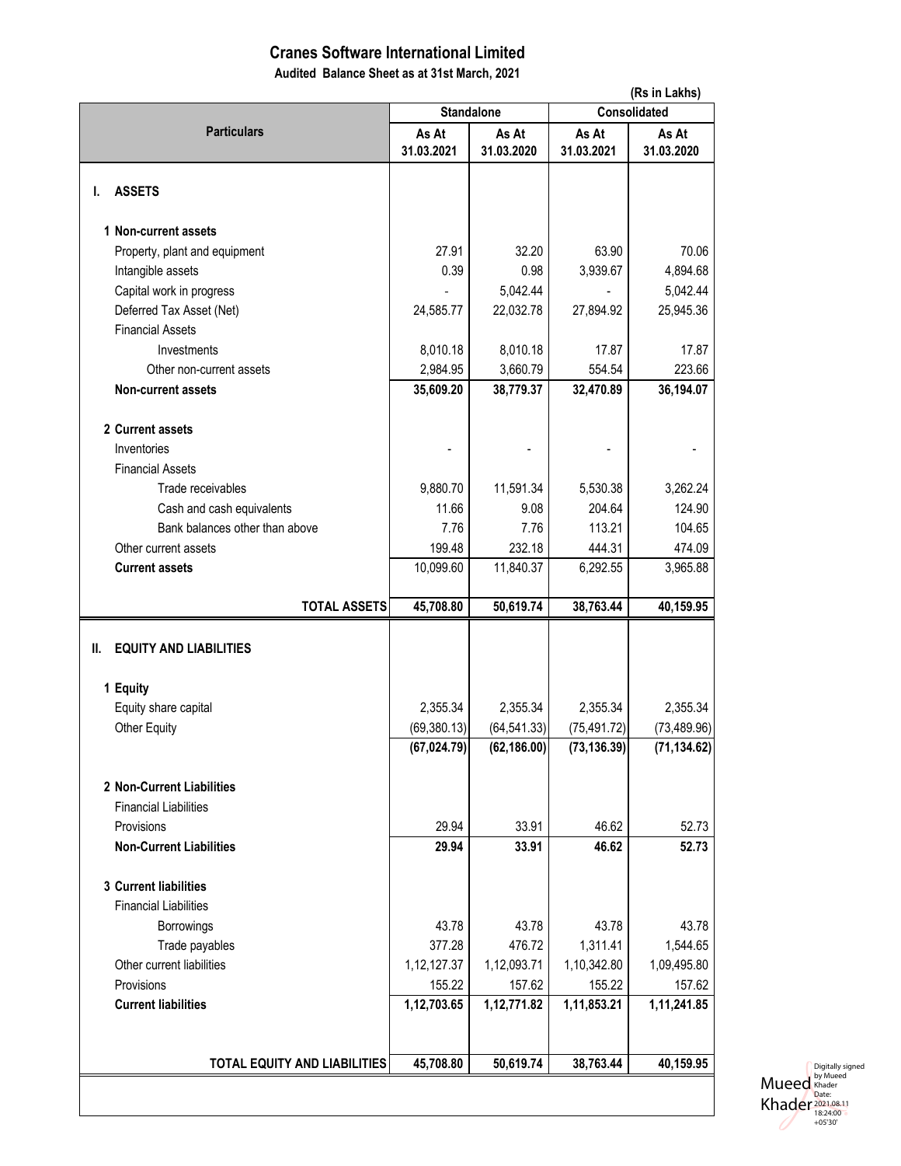# **Cranes Software International Limited**

**Audited Balance Sheet as at 31st March, 2021**

|                                                           | (Rs in Lakhs)       |                     |                     |                     |  |
|-----------------------------------------------------------|---------------------|---------------------|---------------------|---------------------|--|
|                                                           |                     | <b>Standalone</b>   | Consolidated        |                     |  |
| <b>Particulars</b>                                        | As At<br>31.03.2021 | As At<br>31.03.2020 | As At<br>31.03.2021 | As At<br>31.03.2020 |  |
| <b>ASSETS</b><br>ı.                                       |                     |                     |                     |                     |  |
| 1 Non-current assets                                      |                     |                     |                     |                     |  |
| Property, plant and equipment                             | 27.91               | 32.20               | 63.90               | 70.06               |  |
| Intangible assets                                         | 0.39                | 0.98                | 3,939.67            | 4,894.68            |  |
| Capital work in progress                                  |                     | 5,042.44            |                     | 5,042.44            |  |
| Deferred Tax Asset (Net)                                  | 24,585.77           | 22,032.78           | 27,894.92           | 25,945.36           |  |
| <b>Financial Assets</b>                                   |                     |                     |                     |                     |  |
| Investments                                               | 8,010.18            | 8,010.18            | 17.87               | 17.87               |  |
| Other non-current assets                                  | 2,984.95            | 3,660.79            | 554.54              | 223.66              |  |
| <b>Non-current assets</b>                                 | 35,609.20           | 38,779.37           | 32,470.89           | 36,194.07           |  |
|                                                           |                     |                     |                     |                     |  |
| 2 Current assets                                          |                     |                     |                     |                     |  |
| Inventories                                               |                     |                     |                     |                     |  |
| <b>Financial Assets</b>                                   |                     |                     |                     |                     |  |
| Trade receivables                                         | 9,880.70            | 11,591.34           | 5,530.38            | 3,262.24            |  |
| Cash and cash equivalents                                 | 11.66               | 9.08                | 204.64              | 124.90              |  |
| Bank balances other than above                            | 7.76                | 7.76                | 113.21              | 104.65              |  |
| Other current assets                                      | 199.48              | 232.18              | 444.31              | 474.09              |  |
| <b>Current assets</b>                                     | 10,099.60           | 11,840.37           | 6,292.55            | 3,965.88            |  |
| <b>TOTAL ASSETS</b>                                       | 45,708.80           | 50,619.74           | 38,763.44           | 40,159.95           |  |
| <b>EQUITY AND LIABILITIES</b><br>II.<br>1 Equity          |                     |                     |                     |                     |  |
| Equity share capital                                      | 2,355.34            | 2,355.34            | 2,355.34            | 2,355.34            |  |
| <b>Other Equity</b>                                       | (69, 380.13)        | (64, 541.33)        | (75, 491.72)        | (73, 489.96)        |  |
|                                                           | (67, 024.79)        | (62, 186.00)        | (73, 136.39)        | (71, 134.62)        |  |
| 2 Non-Current Liabilities<br><b>Financial Liabilities</b> |                     |                     |                     |                     |  |
| Provisions                                                | 29.94               | 33.91               | 46.62               | 52.73               |  |
| <b>Non-Current Liabilities</b>                            | 29.94               | 33.91               | 46.62               | 52.73               |  |
| 3 Current liabilities<br><b>Financial Liabilities</b>     |                     |                     |                     |                     |  |
| Borrowings                                                | 43.78               | 43.78               | 43.78               | 43.78               |  |
| Trade payables                                            | 377.28              | 476.72              | 1,311.41            | 1,544.65            |  |
| Other current liabilities                                 | 1, 12, 127. 37      | 1,12,093.71         | 1,10,342.80         | 1,09,495.80         |  |
| Provisions                                                | 155.22              | 157.62              | 155.22              | 157.62              |  |
| <b>Current liabilities</b>                                | 1,12,703.65         | 1,12,771.82         | 1,11,853.21         | 1,11,241.85         |  |
|                                                           |                     |                     |                     |                     |  |
| <b>TOTAL EQUITY AND LIABILITIES</b>                       | 45,708.80           | 50,619.74           | 38,763.44           | 40,159.95           |  |
|                                                           |                     |                     |                     |                     |  |
|                                                           |                     |                     |                     |                     |  |

Mueed Khader Digitally signed<br>by Mueed<br>Khader<br>Date:<br>2021.08.11<br>18:24:00<br>+05'30'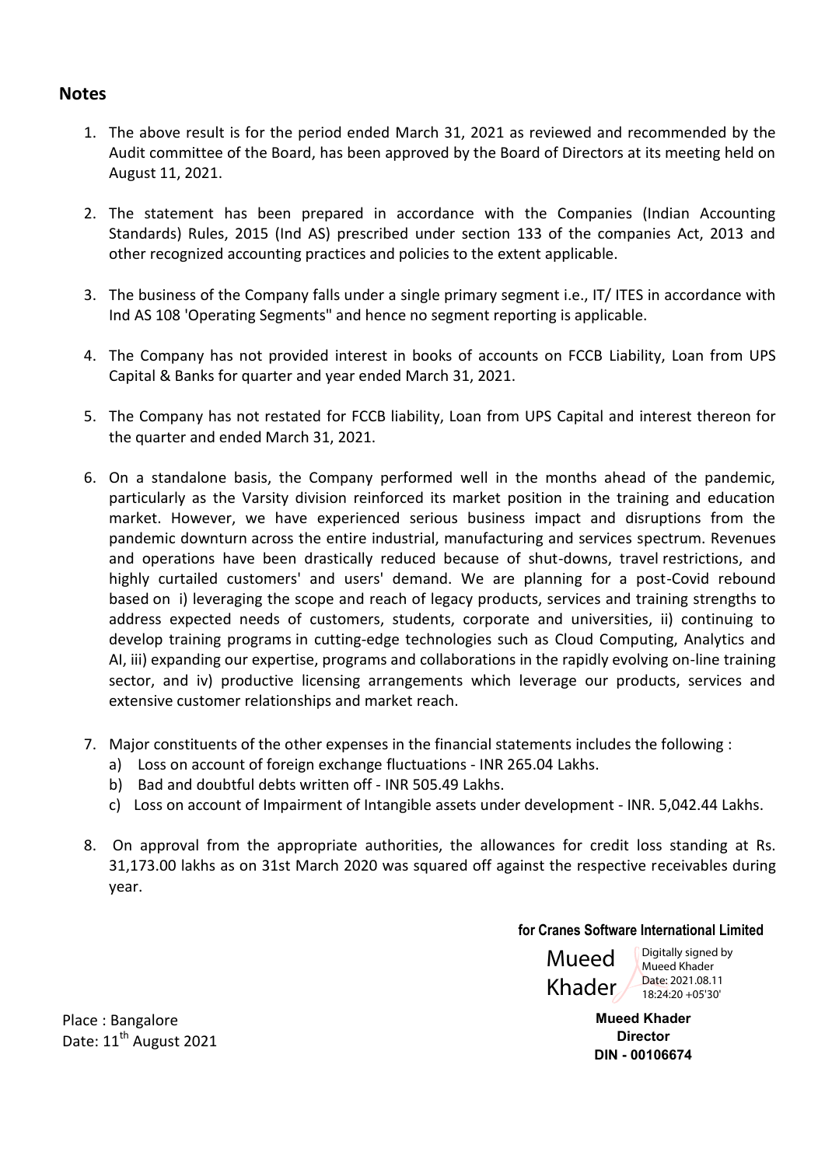# **Notes**

- 1. The above result is for the period ended March 31, 2021 as reviewed and recommended by the Audit committee of the Board, has been approved by the Board of Directors at its meeting held on August 11, 2021.
- 2. The statement has been prepared in accordance with the Companies (Indian Accounting Standards) Rules, 2015 (Ind AS) prescribed under section 133 of the companies Act, 2013 and other recognized accounting practices and policies to the extent applicable.
- 3. The business of the Company falls under a single primary segment i.e., IT/ ITES in accordance with Ind AS 108 'Operating Segments" and hence no segment reporting is applicable.
- 4. The Company has not provided interest in books of accounts on FCCB Liability, Loan from UPS Capital & Banks for quarter and year ended March 31, 2021.
- 5. The Company has not restated for FCCB liability, Loan from UPS Capital and interest thereon for the quarter and ended March 31, 2021.
- 6. On a standalone basis, the Company performed well in the months ahead of the pandemic, particularly as the Varsity division reinforced its market position in the training and education market. However, we have experienced serious business impact and disruptions from the pandemic downturn across the entire industrial, manufacturing and services spectrum. Revenues and operations have been drastically reduced because of shut-downs, travel restrictions, and highly curtailed customers' and users' demand. We are planning for a post-Covid rebound based on i) leveraging the scope and reach of legacy products, services and training strengths to address expected needs of customers, students, corporate and universities, ii) continuing to develop training programs in cutting-edge technologies such as Cloud Computing, Analytics and AI, iii) expanding our expertise, programs and collaborations in the rapidly evolving on-line training sector, and iv) productive licensing arrangements which leverage our products, services and extensive customer relationships and market reach.
- 7. Major constituents of the other expenses in the financial statements includes the following :
	- a) Loss on account of foreign exchange fluctuations INR 265.04 Lakhs.
	- b) Bad and doubtful debts written off INR 505.49 Lakhs.
	- c) Loss on account of Impairment of Intangible assets under development INR. 5,042.44 Lakhs.
- 8. On approval from the appropriate authorities, the allowances for credit loss standing at Rs. 31,173.00 lakhs as on 31st March 2020 was squared off against the respective receivables during year.

### **for Cranes Software International Limited**

Mueed Khader

Digitally signed by Mueed Khader Date: 2021.08.11 18:24:20 +05'30'

**Mueed Khader Director DIN - 00106674** 

Place : Bangalore Date: 11<sup>th</sup> August 2021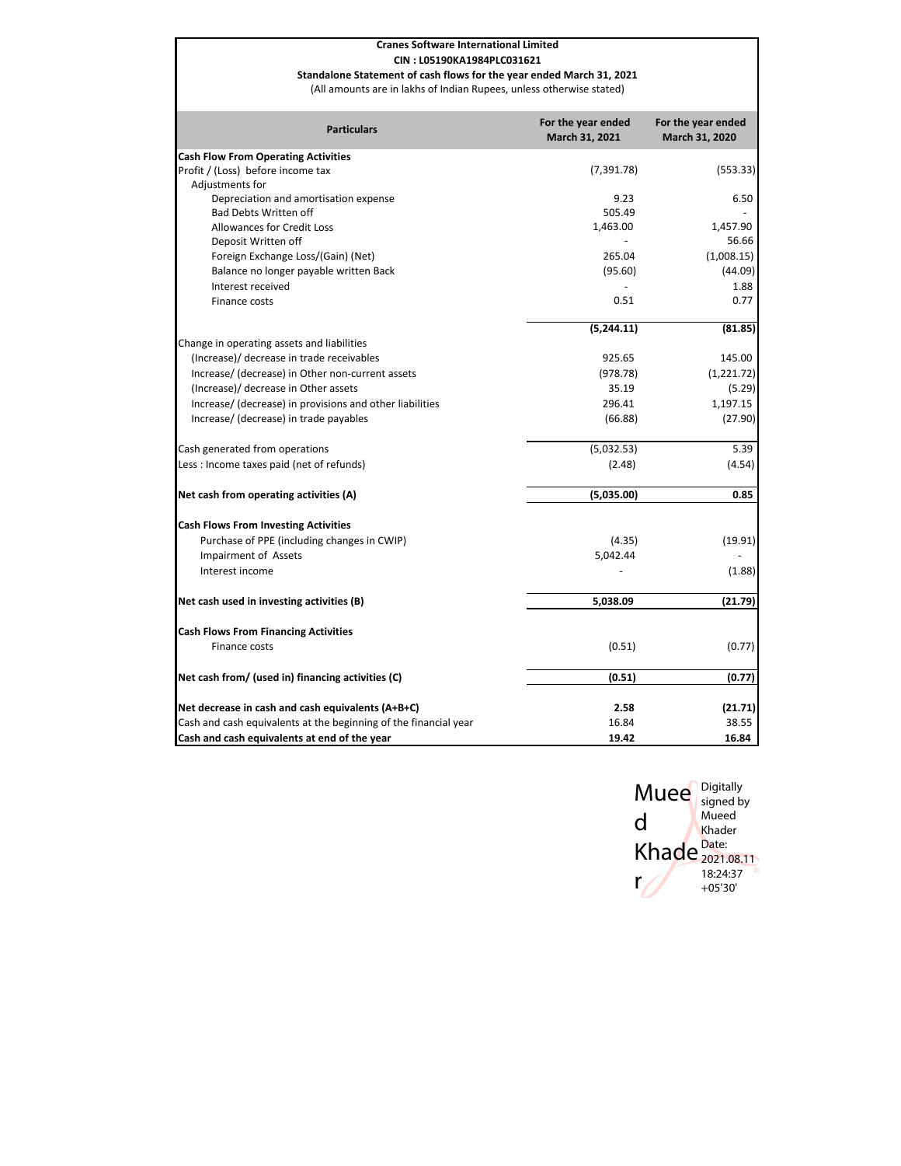#### **Cranes Software International Limited**

#### **CIN : L05190KA1984PLC031621**

**Standalone Statement of cash flows for the year ended March 31, 2021**

(All amounts are in lakhs of Indian Rupees, unless otherwise stated)

| <b>Particulars</b>                                               | For the year ended<br>March 31, 2021 | For the year ended<br>March 31, 2020 |
|------------------------------------------------------------------|--------------------------------------|--------------------------------------|
| <b>Cash Flow From Operating Activities</b>                       |                                      |                                      |
| Profit / (Loss) before income tax                                | (7, 391.78)                          | (553.33)                             |
| Adjustments for                                                  |                                      |                                      |
| Depreciation and amortisation expense                            | 9.23                                 | 6.50                                 |
| <b>Bad Debts Written off</b>                                     | 505.49                               |                                      |
| Allowances for Credit Loss                                       | 1,463.00                             | 1,457.90                             |
| Deposit Written off                                              |                                      | 56.66                                |
| Foreign Exchange Loss/(Gain) (Net)                               | 265.04                               | (1,008.15)                           |
| Balance no longer payable written Back                           | (95.60)                              | (44.09)                              |
| Interest received                                                |                                      | 1.88                                 |
| Finance costs                                                    | 0.51                                 | 0.77                                 |
|                                                                  | (5,244.11)                           | (81.85)                              |
| Change in operating assets and liabilities                       |                                      |                                      |
| (Increase)/ decrease in trade receivables                        | 925.65                               | 145.00                               |
| Increase/ (decrease) in Other non-current assets                 | (978.78)                             | (1,221.72)                           |
| (Increase)/ decrease in Other assets                             | 35.19                                | (5.29)                               |
| Increase/ (decrease) in provisions and other liabilities         | 296.41                               | 1,197.15                             |
| Increase/ (decrease) in trade payables                           | (66.88)                              | (27.90)                              |
| Cash generated from operations                                   | (5,032.53)                           | 5.39                                 |
| Less : Income taxes paid (net of refunds)                        | (2.48)                               | (4.54)                               |
| Net cash from operating activities (A)                           | (5,035.00)                           | 0.85                                 |
| <b>Cash Flows From Investing Activities</b>                      |                                      |                                      |
| Purchase of PPE (including changes in CWIP)                      | (4.35)                               | (19.91)                              |
| <b>Impairment of Assets</b>                                      | 5,042.44                             |                                      |
| Interest income                                                  |                                      | (1.88)                               |
| Net cash used in investing activities (B)                        | 5,038.09                             | (21.79)                              |
|                                                                  |                                      |                                      |
| <b>Cash Flows From Financing Activities</b>                      |                                      |                                      |
| Finance costs                                                    | (0.51)                               | (0.77)                               |
| Net cash from/ (used in) financing activities (C)                | (0.51)                               | (0.77)                               |
| Net decrease in cash and cash equivalents (A+B+C)                | 2.58                                 | (21.71)                              |
| Cash and cash equivalents at the beginning of the financial year | 16.84                                | 38.55                                |
| Cash and cash equivalents at end of the year                     | 19.42                                | 16.84                                |

Muee Digitally

signed by Mueed Khader

2021.08.11 18:24:37 +05'30'

Khade<sup>Date:</sup>

d

r